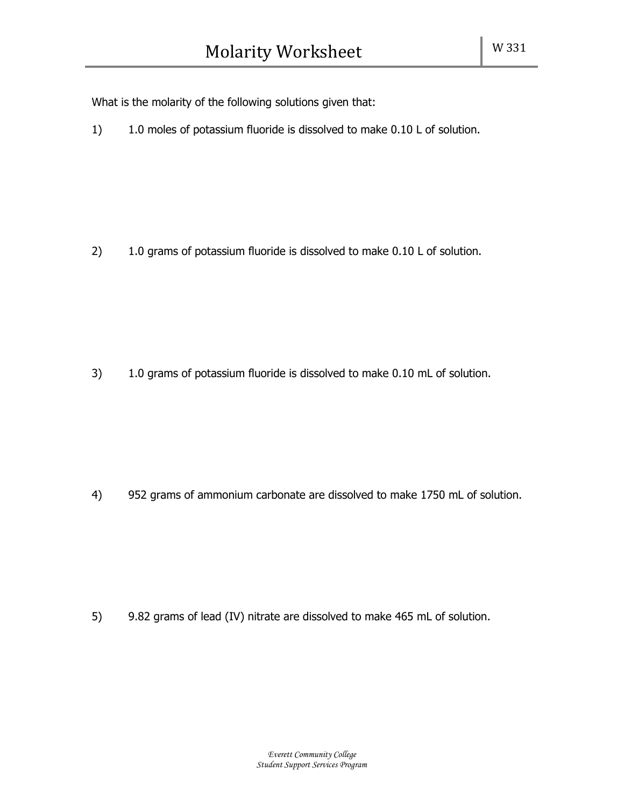What is the molarity of the following solutions given that:

1) 1.0 moles of potassium fluoride is dissolved to make 0.10 L of solution.

2) 1.0 grams of potassium fluoride is dissolved to make 0.10 L of solution.

3) 1.0 grams of potassium fluoride is dissolved to make 0.10 mL of solution.

4) 952 grams of ammonium carbonate are dissolved to make 1750 mL of solution.

5) 9.82 grams of lead (IV) nitrate are dissolved to make 465 mL of solution.